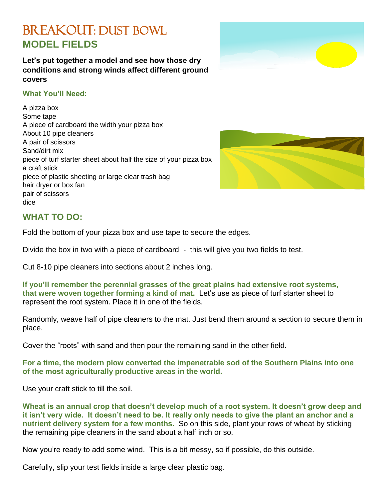## BREAKOUT: DUST BOWL **MODEL FIELDS**

**Let's put together a model and see how those dry conditions and strong winds affect different ground covers**

## **What You'll Need:**

A pizza box Some tape A piece of cardboard the width your pizza box About 10 pipe cleaners A pair of scissors Sand/dirt mix piece of turf starter sheet about half the size of your pizza box a craft stick piece of plastic sheeting or large clear trash bag hair dryer or box fan pair of scissors dice



## **WHAT TO DO:**

Fold the bottom of your pizza box and use tape to secure the edges.

Divide the box in two with a piece of cardboard - this will give you two fields to test.

Cut 8-10 pipe cleaners into sections about 2 inches long.

**If you'll remember the perennial grasses of the great plains had extensive root systems, that were woven together forming a kind of mat.** Let's use as piece of turf starter sheet to represent the root system. Place it in one of the fields.

Randomly, weave half of pipe cleaners to the mat. Just bend them around a section to secure them in place.

Cover the "roots" with sand and then pour the remaining sand in the other field.

**For a time, the modern plow converted the impenetrable sod of the Southern Plains into one of the most agriculturally productive areas in the world.**

Use your craft stick to till the soil.

**Wheat is an annual crop that doesn't develop much of a root system. It doesn't grow deep and it isn't very wide. It doesn't need to be. It really only needs to give the plant an anchor and a nutrient delivery system for a few months.** So on this side, plant your rows of wheat by sticking the remaining pipe cleaners in the sand about a half inch or so.

Now you're ready to add some wind. This is a bit messy, so if possible, do this outside.

Carefully, slip your test fields inside a large clear plastic bag.